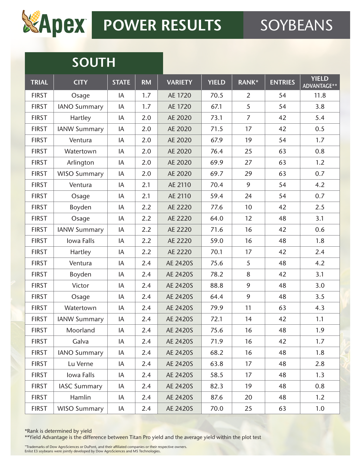

# **SOUTH**

| <b>TRIAL</b> | <b>CITY</b>         | <b>STATE</b> | <b>RM</b> | <b>VARIETY</b> | <b>YIELD</b> | RANK*          | <b>ENTRIES</b> | <b>YIELD</b><br>ADVANTAGE** |
|--------------|---------------------|--------------|-----------|----------------|--------------|----------------|----------------|-----------------------------|
| <b>FIRST</b> | Osage               | IA           | 1.7       | AE 1720        | 70.5         | 2              | 54             | 11.8                        |
| <b>FIRST</b> | <b>IANO Summary</b> | IA           | 1.7       | AE 1720        | 67.1         | 5              | 54             | 3.8                         |
| <b>FIRST</b> | Hartley             | IA           | 2.0       | AE 2020        | 73.1         | $\overline{7}$ | 42             | 5.4                         |
| <b>FIRST</b> | <b>IANW Summary</b> | IA           | 2.0       | AE 2020        | 71.5         | 17             | 42             | 0.5                         |
| <b>FIRST</b> | Ventura             | IA           | 2.0       | AE 2020        | 67.9         | 19             | 54             | 1.7                         |
| <b>FIRST</b> | Watertown           | IA           | 2.0       | AE 2020        | 76.4         | 25             | 63             | 0.8                         |
| <b>FIRST</b> | Arlington           | IA           | 2.0       | AE 2020        | 69.9         | 27             | 63             | 1.2                         |
| <b>FIRST</b> | <b>WISO Summary</b> | IA           | 2.0       | AE 2020        | 69.7         | 29             | 63             | 0.7                         |
| <b>FIRST</b> | Ventura             | IA           | 2.1       | AE 2110        | 70.4         | 9              | 54             | 4.2                         |
| <b>FIRST</b> | Osage               | IA           | 2.1       | AE 2110        | 59.4         | 24             | 54             | 0.7                         |
| <b>FIRST</b> | Boyden              | IA           | 2.2       | AE 2220        | 77.6         | 10             | 42             | 2.5                         |
| <b>FIRST</b> | Osage               | IA           | 2.2       | AE 2220        | 64.0         | 12             | 48             | 3.1                         |
| <b>FIRST</b> | <b>IANW Summary</b> | IA           | 2.2       | AE 2220        | 71.6         | 16             | 42             | 0.6                         |
| <b>FIRST</b> | Iowa Falls          | IA           | 2.2       | AE 2220        | 59.0         | 16             | 48             | 1.8                         |
| <b>FIRST</b> | Hartley             | IA           | 2.2       | AE 2220        | 70.1         | 17             | 42             | 2.4                         |
| <b>FIRST</b> | Ventura             | IA           | 2.4       | AE 2420S       | 75.6         | 5              | 48             | 4.2                         |
| <b>FIRST</b> | Boyden              | IA           | 2.4       | AE 2420S       | 78.2         | 8              | 42             | 3.1                         |
| <b>FIRST</b> | Victor              | IA           | 2.4       | AE 2420S       | 88.8         | 9              | 48             | 3.0                         |
| <b>FIRST</b> | Osage               | IA           | 2.4       | AE 2420S       | 64.4         | 9              | 48             | 3.5                         |
| <b>FIRST</b> | Watertown           | IA           | 2.4       | AE 2420S       | 79.9         | 11             | 63             | 4.3                         |
| <b>FIRST</b> | <b>IANW Summary</b> | IA           | 2.4       | AE 2420S       | 72.1         | 14             | 42             | 1.1                         |
| <b>FIRST</b> | Moorland            | IA           | 2.4       | AE 2420S       | 75.6         | 16             | 48             | 1.9                         |
| <b>FIRST</b> | Galva               | IA           | 2.4       | AE 2420S       | 71.9         | 16             | 42             | 1.7                         |
| <b>FIRST</b> | <b>IANO Summary</b> | IA           | 2.4       | AE 2420S       | 68.2         | 16             | 48             | 1.8                         |
| <b>FIRST</b> | Lu Verne            | IA           | 2.4       | AE 2420S       | 63.8         | 17             | 48             | 2.8                         |
| <b>FIRST</b> | Iowa Falls          | IA           | 2.4       | AE 2420S       | 58.5         | 17             | 48             | 1.3                         |
| <b>FIRST</b> | <b>IASC Summary</b> | IA           | 2.4       | AE 2420S       | 82.3         | 19             | 48             | 0.8                         |
| <b>FIRST</b> | Hamlin              | IA           | 2.4       | AE 2420S       | 87.6         | 20             | 48             | 1.2                         |
| <b>FIRST</b> | <b>WISO Summary</b> | IA           | 2.4       | AE 2420S       | 70.0         | 25             | 63             | 1.0                         |

\*Rank is determined by yield

\*\*Yield Advantage is the difference between Titan Pro yield and the average yield within the plot test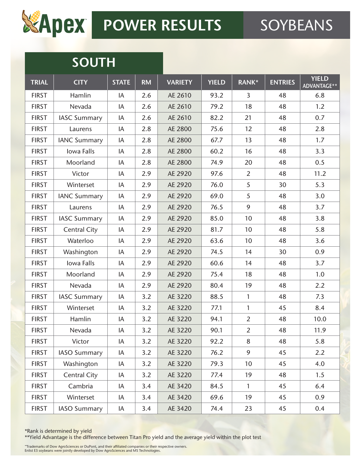

# **SOUTH**

| <b>TRIAL</b> | <b>CITY</b>         | <b>STATE</b> | <b>RM</b> | <b>VARIETY</b> | <b>YIELD</b> | RANK*          | <b>ENTRIES</b> | <b>YIELD</b><br>ADVANTAGE** |
|--------------|---------------------|--------------|-----------|----------------|--------------|----------------|----------------|-----------------------------|
| <b>FIRST</b> | Hamlin              | IA           | 2.6       | AE 2610        | 93.2         | 3              | 48             | 6.8                         |
| <b>FIRST</b> | Nevada              | IA           | 2.6       | AE 2610        | 79.2         | 18             | 48             | 1.2                         |
| <b>FIRST</b> | <b>IASC Summary</b> | IA           | 2.6       | AE 2610        | 82.2         | 21             | 48             | 0.7                         |
| <b>FIRST</b> | Laurens             | IA           | 2.8       | AE 2800        | 75.6         | 12             | 48             | 2.8                         |
| <b>FIRST</b> | <b>IANC Summary</b> | IA           | 2.8       | AE 2800        | 67.7         | 13             | 48             | 1.7                         |
| <b>FIRST</b> | Iowa Falls          | IA           | 2.8       | AE 2800        | 60.2         | 16             | 48             | 3.3                         |
| <b>FIRST</b> | Moorland            | IA           | 2.8       | AE 2800        | 74.9         | 20             | 48             | 0.5                         |
| <b>FIRST</b> | Victor              | IA           | 2.9       | AE 2920        | 97.6         | 2              | 48             | 11.2                        |
| <b>FIRST</b> | Winterset           | IA           | 2.9       | AE 2920        | 76.0         | 5              | 30             | 5.3                         |
| <b>FIRST</b> | <b>IANC Summary</b> | IA           | 2.9       | AE 2920        | 69.0         | 5              | 48             | 3.0                         |
| <b>FIRST</b> | Laurens             | IA           | 2.9       | AE 2920        | 76.5         | 9              | 48             | 3.7                         |
| <b>FIRST</b> | <b>IASC Summary</b> | IA           | 2.9       | AE 2920        | 85.0         | 10             | 48             | 3.8                         |
| <b>FIRST</b> | <b>Central City</b> | IA           | 2.9       | AE 2920        | 81.7         | 10             | 48             | 5.8                         |
| <b>FIRST</b> | Waterloo            | IA           | 2.9       | AE 2920        | 63.6         | 10             | 48             | 3.6                         |
| <b>FIRST</b> | Washington          | IA           | 2.9       | AE 2920        | 74.5         | 14             | 30             | 0.9                         |
| <b>FIRST</b> | Iowa Falls          | IA           | 2.9       | AE 2920        | 60.6         | 14             | 48             | 3.7                         |
| <b>FIRST</b> | Moorland            | IA           | 2.9       | AE 2920        | 75.4         | 18             | 48             | 1.0                         |
| <b>FIRST</b> | Nevada              | IA           | 2.9       | AE 2920        | 80.4         | 19             | 48             | 2.2                         |
| <b>FIRST</b> | <b>IASC Summary</b> | IA           | 3.2       | AE 3220        | 88.5         | $\mathbf{1}$   | 48             | 7.3                         |
| <b>FIRST</b> | Winterset           | IA           | 3.2       | AE 3220        | 77.1         | $\mathbf{1}$   | 45             | 8.4                         |
| <b>FIRST</b> | Hamlin              | IA           | 3.2       | AE 3220        | 94.1         | $\overline{2}$ | 48             | 10.0                        |
| <b>FIRST</b> | Nevada              | IA           | 3.2       | AE 3220        | 90.1         | $\overline{2}$ | 48             | 11.9                        |
| <b>FIRST</b> | Victor              | IA           | 3.2       | AE 3220        | 92.2         | 8              | 48             | 5.8                         |
| <b>FIRST</b> | <b>IASO Summary</b> | IA           | 3.2       | AE 3220        | 76.2         | 9              | 45             | 2.2                         |
| <b>FIRST</b> | Washington          | IA           | 3.2       | AE 3220        | 79.3         | 10             | 45             | 4.0                         |
| <b>FIRST</b> | <b>Central City</b> | IA           | 3.2       | AE 3220        | 77.4         | 19             | 48             | 1.5                         |
| <b>FIRST</b> | Cambria             | IA           | 3.4       | AE 3420        | 84.5         | 1              | 45             | 6.4                         |
| <b>FIRST</b> | Winterset           | IA           | 3.4       | AE 3420        | 69.6         | 19             | 45             | 0.9                         |
| <b>FIRST</b> | <b>IASO Summary</b> | IA           | 3.4       | AE 3420        | 74.4         | 23             | 45             | 0.4                         |

\*Rank is determined by yield

\*\*Yield Advantage is the difference between Titan Pro yield and the average yield within the plot test